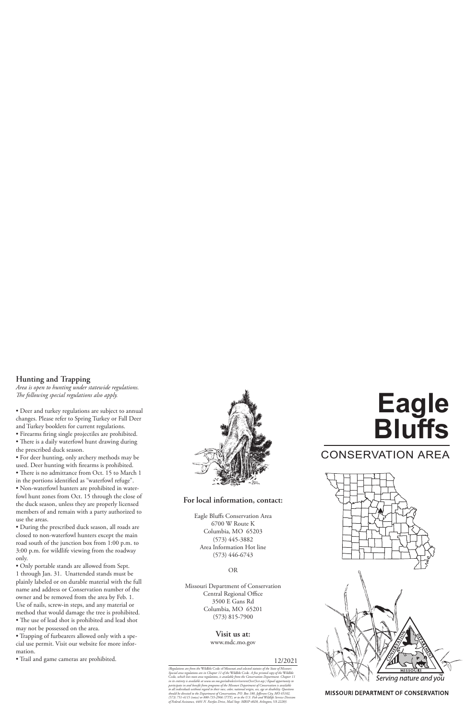# **Hunting and Trapping**

*Area is open to hunting under statewide regulations. The following special regulations also apply.*

• Deer and turkey regulations are subject to annual changes. Please refer to Spring Turkey or Fall Deer and Turkey booklets for current regulations.

• Firearms firing single projectiles are prohibited.

• There is a daily waterfowl hunt drawing during the prescribed duck season.

• For deer hunting, only archery methods may be used. Deer hunting with firearms is prohibited.

• There is no admittance from Oct. 15 to March 1 in the portions identified as "waterfowl refuge".

• Non-waterfowl hunters are prohibited in waterfowl hunt zones from Oct. 15 through the close of the duck season, unless they are properly licensed members of and remain with a party authorized to use the areas.

• During the prescribed duck season, all roads are closed to non-waterfowl hunters except the main road south of the junction box from 1:00 p.m. to 3:00 p.m. for wildlife viewing from the roadway only.

• Only portable stands are allowed from Sept. 1 through Jan. 31. Unattended stands must be plainly labeled or on durable material with the full name and address or Conservation number of the owner and be removed from the area by Feb. 1. Use of nails, screw-in steps, and any material or method that would damage the tree is prohibited. • The use of lead shot is prohibited and lead shot

may not be possessed on the area. • Trapping of furbearers allowed only with a spe-

cial use permit. Visit our website for more information.

• Trail and game cameras are prohibited.



# **For local information, contact:**

Eagle Bluffs Conservation Area 6700 W Route K Columbia, MO 65203 (573) 445-3882 Area Information Hot line (573) 446-6743

OR

Missouri Department of Conservation Central Regional Office 3500 E Gans Rd Columbia, MO 65201 (573) 815-7900

### **Visit us at:**

www.mdc.mo.gov

### 12/2021

*(Regulations are from the* Wildlife Code of Missouri *and selected statutes of the State of Missouri. Special area regulations are in Chapter 11 of the* Wildlife Code*. A free printed copy of the* Wildlife Code*, which lists most area regulations, is available from the Conservation Department. Chapter 11*  in its entirety is available at www.sos.mo.gov/adrules/csr/current/3csr/3csr.asp.) Equal opportunity to<br>participate in and benefit from programs of the Missouri Department of Conservation is available<br>to all individuals wi *should be directed to the Department of Conservation, P.O. Box 180, Jefferson City, MO 65102, (573) 751-4115 (voice) or 800-735-2966 (TTY), or to the U.S. Fish and Wildlife Service Division of Federal Assistance, 4401 N. Fairfax Drive, Mail Stop: MBSP-4020, Arlington, VA 22203.*

# **Eagle Bluffs**

# CONSERVATION AREA



**MISSOURI DEPARTMENT OF CONSERVATION**